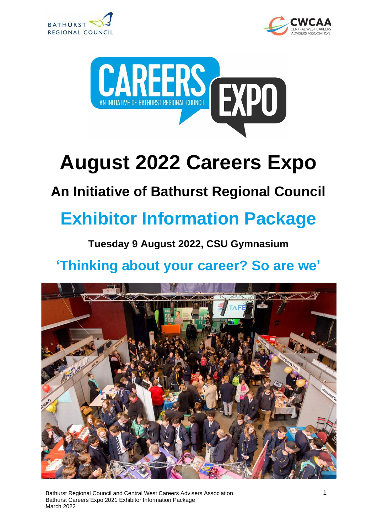





# **August 2022 Careers Expo**

## **An Initiative of Bathurst Regional Council**

# **Exhibitor Information Package**

#### **Tuesday 9 August 2022, CSU Gymnasium**

## **'Thinking about your career? So are we'**



Bathurst Regional Council and Central West Careers Advisers Association Bathurst Careers Expo 2021 Exhibitor Information Package March 2022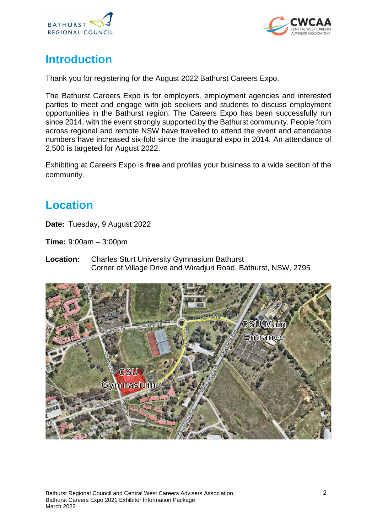



#### **Introduction**

Thank you for registering for the August 2022 Bathurst Careers Expo.

The Bathurst Careers Expo is for employers, employment agencies and interested parties to meet and engage with job seekers and students to discuss employment opportunities in the Bathurst region. The Careers Expo has been successfully run since 2014, with the event strongly supported by the Bathurst community. People from across regional and remote NSW have travelled to attend the event and attendance numbers have increased six-fold since the inaugural expo in 2014. An attendance of 2,500 is targeted for August 2022.

Exhibiting at Careers Expo is **free** and profiles your business to a wide section of the community.

#### **Location**

**Date:** Tuesday, 9 August 2022

**Time:** 9:00am – 3:00pm

**Location:** Charles Sturt University Gymnasium Bathurst Corner of Village Drive and Wiradjuri Road, Bathurst, NSW, 2795

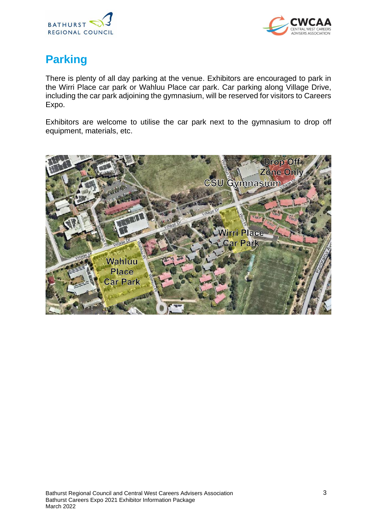



## **Parking**

There is plenty of all day parking at the venue. Exhibitors are encouraged to park in the Wirri Place car park or Wahluu Place car park. Car parking along Village Drive, including the car park adjoining the gymnasium, will be reserved for visitors to Careers Expo.

Exhibitors are welcome to utilise the car park next to the gymnasium to drop off equipment, materials, etc.

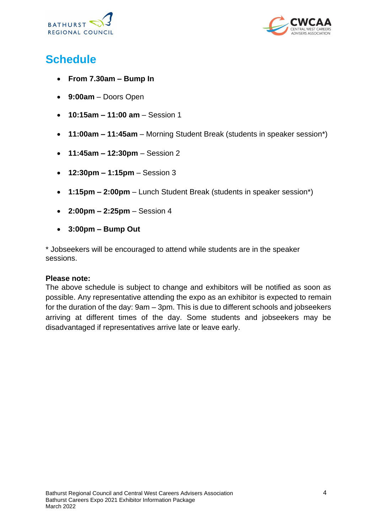



### **Schedule**

- **From 7.30am – Bump In**
- **9:00am** Doors Open
- **10:15am – 11:00 am** Session 1
- **11:00am – 11:45am** Morning Student Break (students in speaker session\*)
- **11:45am – 12:30pm** Session 2
- **12:30pm – 1:15pm** Session 3
- **1:15pm – 2:00pm** Lunch Student Break (students in speaker session\*)
- **2:00pm – 2:25pm** Session 4
- **3:00pm – Bump Out**

\* Jobseekers will be encouraged to attend while students are in the speaker sessions.

#### **Please note:**

The above schedule is subject to change and exhibitors will be notified as soon as possible. Any representative attending the expo as an exhibitor is expected to remain for the duration of the day: 9am – 3pm. This is due to different schools and jobseekers arriving at different times of the day. Some students and jobseekers may be disadvantaged if representatives arrive late or leave early.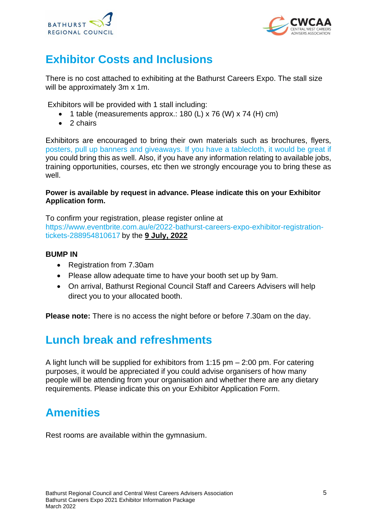



### **Exhibitor Costs and Inclusions**

There is no cost attached to exhibiting at the Bathurst Careers Expo. The stall size will be approximately 3m x 1m.

Exhibitors will be provided with 1 stall including:

- 1 table (measurements approx.: 180 (L) x 76 (W) x 74 (H) cm)
- 2 chairs

Exhibitors are encouraged to bring their own materials such as brochures, flyers, posters, pull up banners and giveaways. If you have a tablecloth, it would be great if you could bring this as well. Also, if you have any information relating to available jobs, training opportunities, courses, etc then we strongly encourage you to bring these as well.

#### **Power is available by request in advance. Please indicate this on your Exhibitor Application form.**

To confirm your registration, please register online at [https://www.eventbrite.com.au/e/2022-bathurst-careers-expo-exhibitor-registration](https://www.eventbrite.com.au/e/2022-bathurst-careers-expo-exhibitor-registration-tickets-288954810617)[tickets-288954810617](https://www.eventbrite.com.au/e/2022-bathurst-careers-expo-exhibitor-registration-tickets-288954810617) by the **9 July, 2022**

#### **BUMP IN**

- Registration from 7.30am
- Please allow adequate time to have your booth set up by 9am.
- On arrival, Bathurst Regional Council Staff and Careers Advisers will help direct you to your allocated booth.

**Please note:** There is no access the night before or before 7.30am on the day.

#### **Lunch break and refreshments**

A light lunch will be supplied for exhibitors from 1:15 pm – 2:00 pm. For catering purposes, it would be appreciated if you could advise organisers of how many people will be attending from your organisation and whether there are any dietary requirements. Please indicate this on your Exhibitor Application Form.

#### **Amenities**

Rest rooms are available within the gymnasium.